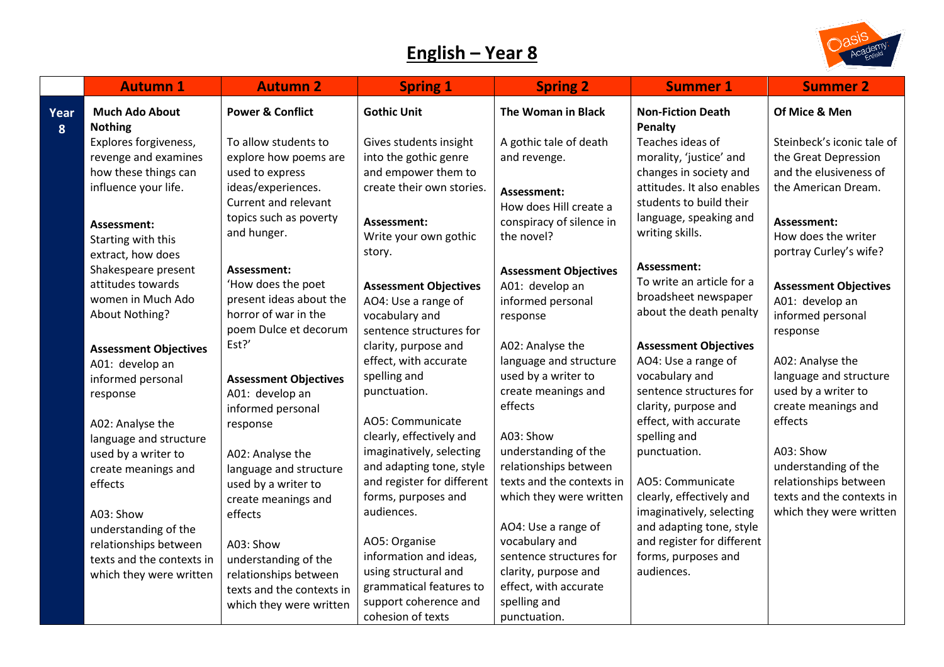## **English – Year 8**



|      | <b>Autumn 1</b>              | <b>Autumn 2</b>              | <b>Spring 1</b>                         | <b>Spring 2</b>                           | <b>Summer 1</b>                   | <b>Summer 2</b>              |
|------|------------------------------|------------------------------|-----------------------------------------|-------------------------------------------|-----------------------------------|------------------------------|
| Year | <b>Much Ado About</b>        | <b>Power &amp; Conflict</b>  | <b>Gothic Unit</b>                      | <b>The Woman in Black</b>                 | <b>Non-Fiction Death</b>          | Of Mice & Men                |
| 8    | <b>Nothing</b>               |                              |                                         |                                           | Penalty                           |                              |
|      | Explores forgiveness,        | To allow students to         | Gives students insight                  | A gothic tale of death                    | Teaches ideas of                  | Steinbeck's iconic tale of   |
|      | revenge and examines         | explore how poems are        | into the gothic genre                   | and revenge.                              | morality, 'justice' and           | the Great Depression         |
|      | how these things can         | used to express              | and empower them to                     |                                           | changes in society and            | and the elusiveness of       |
|      | influence your life.         | ideas/experiences.           | create their own stories.               | Assessment:                               | attitudes. It also enables        | the American Dream.          |
|      |                              | Current and relevant         |                                         | How does Hill create a                    | students to build their           |                              |
|      | Assessment:                  | topics such as poverty       | Assessment:                             | conspiracy of silence in                  | language, speaking and            | Assessment:                  |
|      | Starting with this           | and hunger.                  | Write your own gothic                   | the novel?                                | writing skills.                   | How does the writer          |
|      | extract, how does            |                              | story.                                  |                                           |                                   | portray Curley's wife?       |
|      | Shakespeare present          | Assessment:                  |                                         | <b>Assessment Objectives</b>              | Assessment:                       |                              |
|      | attitudes towards            | 'How does the poet           | <b>Assessment Objectives</b>            | A01: develop an                           | To write an article for a         | <b>Assessment Objectives</b> |
|      | women in Much Ado            | present ideas about the      | AO4: Use a range of                     | informed personal                         | broadsheet newspaper              | A01: develop an              |
|      | About Nothing?               | horror of war in the         | vocabulary and                          | response                                  | about the death penalty           | informed personal            |
|      |                              | poem Dulce et decorum        | sentence structures for                 |                                           |                                   | response                     |
|      | <b>Assessment Objectives</b> | Est?'                        | clarity, purpose and                    | A02: Analyse the                          | <b>Assessment Objectives</b>      |                              |
|      | A01: develop an              |                              | effect, with accurate                   | language and structure                    | AO4: Use a range of               | A02: Analyse the             |
|      | informed personal            | <b>Assessment Objectives</b> | spelling and                            | used by a writer to                       | vocabulary and                    | language and structure       |
|      | response                     | A01: develop an              | punctuation.                            | create meanings and                       | sentence structures for           | used by a writer to          |
|      |                              | informed personal            |                                         | effects                                   | clarity, purpose and              | create meanings and          |
|      | A02: Analyse the             | response                     | AO5: Communicate                        |                                           | effect, with accurate             | effects                      |
|      | language and structure       |                              | clearly, effectively and                | A03: Show                                 | spelling and                      |                              |
|      | used by a writer to          | A02: Analyse the             | imaginatively, selecting                | understanding of the                      | punctuation.                      | A03: Show                    |
|      | create meanings and          | language and structure       | and adapting tone, style                | relationships between                     |                                   | understanding of the         |
|      | effects                      | used by a writer to          | and register for different              | texts and the contexts in                 | AO5: Communicate                  | relationships between        |
|      |                              | create meanings and          | forms, purposes and                     | which they were written                   | clearly, effectively and          | texts and the contexts in    |
|      | A03: Show                    | effects                      | audiences.                              |                                           | imaginatively, selecting          | which they were written      |
|      | understanding of the         |                              |                                         | AO4: Use a range of                       | and adapting tone, style          |                              |
|      | relationships between        | A03: Show                    | AO5: Organise<br>information and ideas, | vocabulary and<br>sentence structures for | and register for different        |                              |
|      | texts and the contexts in    | understanding of the         | using structural and                    | clarity, purpose and                      | forms, purposes and<br>audiences. |                              |
|      | which they were written      | relationships between        | grammatical features to                 | effect, with accurate                     |                                   |                              |
|      |                              | texts and the contexts in    | support coherence and                   | spelling and                              |                                   |                              |
|      |                              | which they were written      | cohesion of texts                       | punctuation.                              |                                   |                              |
|      |                              |                              |                                         |                                           |                                   |                              |